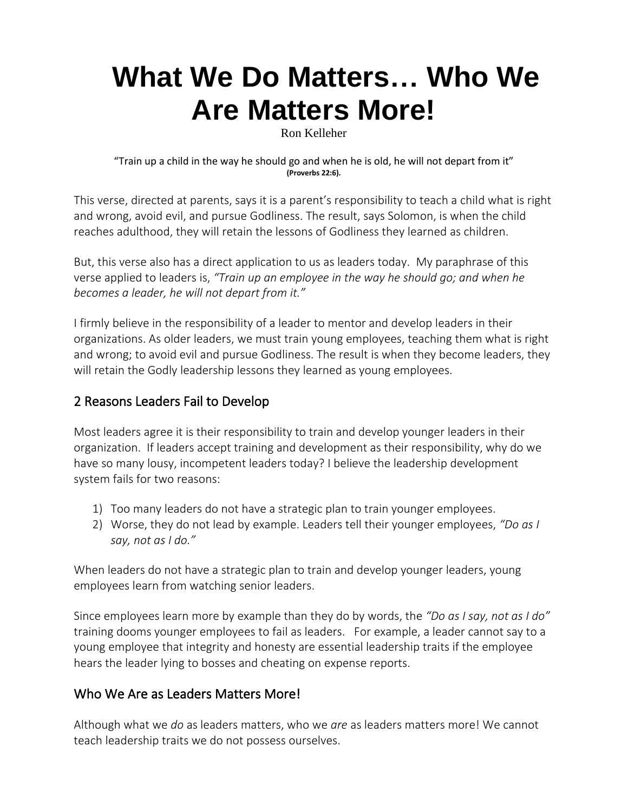# **[What We Do Matters…](https://ronkelleher.com/442-what-we-do-matters-who-we-are-matters-more/) Who We [Are Matters More!](https://ronkelleher.com/442-what-we-do-matters-who-we-are-matters-more/)**

Ron Kelleher

"Train up a child in the way he should go and when he is old, he will not depart from it" **(Proverbs 22:6).**

This verse, directed at parents, says it is a parent's responsibility to teach a child what is right and wrong, avoid evil, and pursue Godliness. The result, says Solomon, is when the child reaches adulthood, they will retain the lessons of Godliness they learned as children.

But, this verse also has a direct application to us as leaders today. My paraphrase of this verse applied to leaders is, *"Train up an employee in the way he should go; and when he becomes a leader, he will not depart from it."*

I firmly believe in the responsibility of a leader to mentor and develop leaders in their organizations. As older leaders, we must train young employees, teaching them what is right and wrong; to avoid evil and pursue Godliness. The result is when they become leaders, they will retain the Godly leadership lessons they learned as young employees.

### 2 Reasons Leaders Fail to Develop

Most leaders agree it is their responsibility to train and develop younger leaders in their organization. If leaders accept training and development as their responsibility, why do we have so many lousy, incompetent leaders today? I believe the leadership development system fails for two reasons:

- 1) Too many leaders do not have a strategic plan to train younger employees.
- 2) Worse, they do not lead by example. Leaders tell their younger employees, *"Do as I say, not as I do."*

When leaders do not have a strategic plan to train and develop younger leaders, young employees learn from watching senior leaders.

Since employees learn more by example than they do by words, the *"Do as I say, not as I do"* training dooms younger employees to fail as leaders. For example, a leader cannot say to a young employee that integrity and honesty are essential leadership traits if the employee hears the leader lying to bosses and cheating on expense reports.

#### Who We Are as Leaders Matters More!

Although what we *do* as leaders matters, who we *are* as leaders matters more! We cannot teach leadership traits we do not possess ourselves.